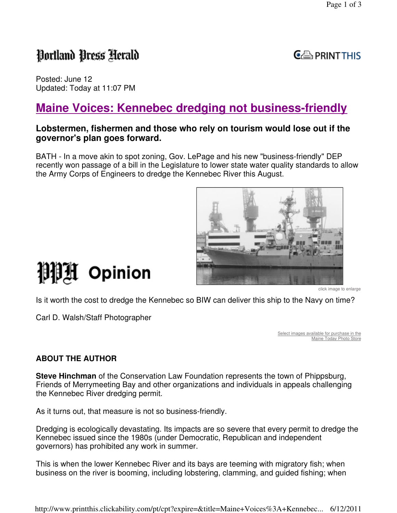## Portland Press Herald

 $C \oplus$  PRINT THIS

Posted: June 12 Updated: Today at 11:07 PM

## **Maine Voices: Kennebec dredging not business-friendly**

#### **Lobstermen, fishermen and those who rely on tourism would lose out if the governor's plan goes forward.**

BATH - In a move akin to spot zoning, Gov. LePage and his new "business-friendly" DEP recently won passage of a bill in the Legislature to lower state water quality standards to allow the Army Corps of Engineers to dredge the Kennebec River this August.



# 測測 Opinion

click image to enlarge

Is it worth the cost to dredge the Kennebec so BIW can deliver this ship to the Navy on time?

Carl D. Walsh/Staff Photographer

Select images available for purchase in the Maine Today Photo Store

### **ABOUT THE AUTHOR**

**Steve Hinchman** of the Conservation Law Foundation represents the town of Phippsburg, Friends of Merrymeeting Bay and other organizations and individuals in appeals challenging the Kennebec River dredging permit.

As it turns out, that measure is not so business-friendly.

Dredging is ecologically devastating. Its impacts are so severe that every permit to dredge the Kennebec issued since the 1980s (under Democratic, Republican and independent governors) has prohibited any work in summer.

This is when the lower Kennebec River and its bays are teeming with migratory fish; when business on the river is booming, including lobstering, clamming, and guided fishing; when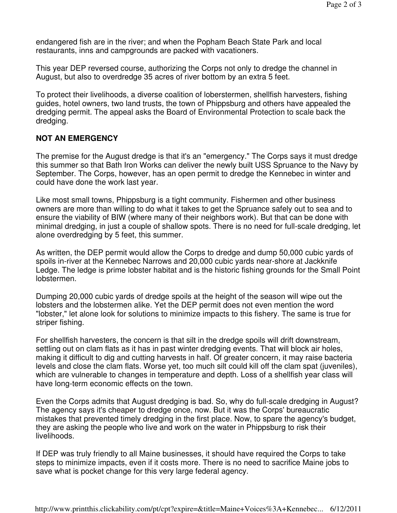endangered fish are in the river; and when the Popham Beach State Park and local restaurants, inns and campgrounds are packed with vacationers.

This year DEP reversed course, authorizing the Corps not only to dredge the channel in August, but also to overdredge 35 acres of river bottom by an extra 5 feet.

To protect their livelihoods, a diverse coalition of loberstermen, shellfish harvesters, fishing guides, hotel owners, two land trusts, the town of Phippsburg and others have appealed the dredging permit. The appeal asks the Board of Environmental Protection to scale back the dredging.

#### **NOT AN EMERGENCY**

The premise for the August dredge is that it's an "emergency." The Corps says it must dredge this summer so that Bath Iron Works can deliver the newly built USS Spruance to the Navy by September. The Corps, however, has an open permit to dredge the Kennebec in winter and could have done the work last year.

Like most small towns, Phippsburg is a tight community. Fishermen and other business owners are more than willing to do what it takes to get the Spruance safely out to sea and to ensure the viability of BIW (where many of their neighbors work). But that can be done with minimal dredging, in just a couple of shallow spots. There is no need for full-scale dredging, let alone overdredging by 5 feet, this summer.

As written, the DEP permit would allow the Corps to dredge and dump 50,000 cubic yards of spoils in-river at the Kennebec Narrows and 20,000 cubic yards near-shore at Jackknife Ledge. The ledge is prime lobster habitat and is the historic fishing grounds for the Small Point lobstermen.

Dumping 20,000 cubic yards of dredge spoils at the height of the season will wipe out the lobsters and the lobstermen alike. Yet the DEP permit does not even mention the word "lobster," let alone look for solutions to minimize impacts to this fishery. The same is true for striper fishing.

For shellfish harvesters, the concern is that silt in the dredge spoils will drift downstream, settling out on clam flats as it has in past winter dredging events. That will block air holes, making it difficult to dig and cutting harvests in half. Of greater concern, it may raise bacteria levels and close the clam flats. Worse yet, too much silt could kill off the clam spat (juveniles), which are vulnerable to changes in temperature and depth. Loss of a shellfish year class will have long-term economic effects on the town.

Even the Corps admits that August dredging is bad. So, why do full-scale dredging in August? The agency says it's cheaper to dredge once, now. But it was the Corps' bureaucratic mistakes that prevented timely dredging in the first place. Now, to spare the agency's budget, they are asking the people who live and work on the water in Phippsburg to risk their livelihoods.

If DEP was truly friendly to all Maine businesses, it should have required the Corps to take steps to minimize impacts, even if it costs more. There is no need to sacrifice Maine jobs to save what is pocket change for this very large federal agency.